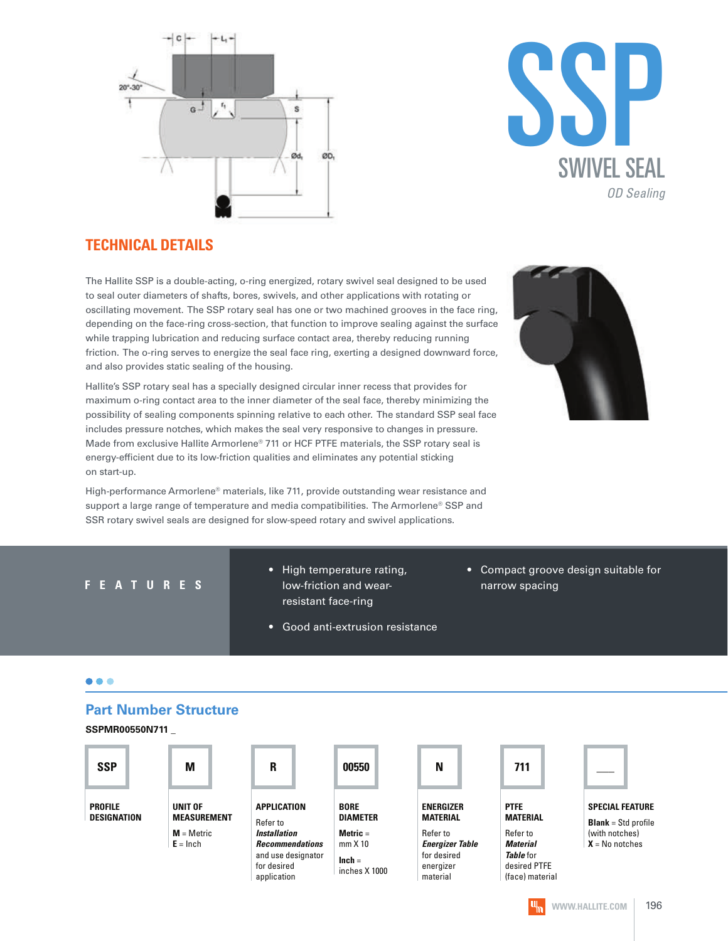



#### **TECHNICAL DETAILS**

The Hallite SSP is a double-acting, o-ring energized, rotary swivel seal designed to be used to seal outer diameters of shafts, bores, swivels, and other applications with rotating or oscillating movement. The SSP rotary seal has one or two machined grooves in the face ring, depending on the face-ring cross-section, that function to improve sealing against the surface while trapping lubrication and reducing surface contact area, thereby reducing running friction. The o-ring serves to energize the seal face ring, exerting a designed downward force, and also provides static sealing of the housing.

Hallite's SSP rotary seal has a specially designed circular inner recess that provides for maximum o-ring contact area to the inner diameter of the seal face, thereby minimizing the possibility of sealing components spinning relative to each other. The standard SSP seal face includes pressure notches, which makes the seal very responsive to changes in pressure. Made from exclusive Hallite Armorlene® 711 or HCF PTFE materials, the SSP rotary seal is energy-efficient due to its low-friction qualities and eliminates any potential sticking on start-up.



High-performance Armorlene® materials, like 711, provide outstanding wear resistance and support a large range of temperature and media compatibilities. The Armorlene® SSP and SSR rotary swivel seals are designed for slow-speed rotary and swivel applications.

- High temperature rating, **F E A T U R E S** now-friction and wear- the marrow spacing resistant face-ring
	- Good anti-extrusion resistance

• Compact groove design suitable for

#### $\bullet\bullet\bullet$

#### **Part Number Structure**

**SSPMR00550N711 \_**

| <b>SSP</b>                    | M                                                           | R                                                                                                                            | 00550                                                                                       | N                                                                                                                 | 711                                                                                                                  |                                                         |
|-------------------------------|-------------------------------------------------------------|------------------------------------------------------------------------------------------------------------------------------|---------------------------------------------------------------------------------------------|-------------------------------------------------------------------------------------------------------------------|----------------------------------------------------------------------------------------------------------------------|---------------------------------------------------------|
| <b>PROFILE</b><br>DESIGNATION | UNIT OF<br><b>MEASUREMENT</b><br>$M =$ Metric<br>$E = Inch$ | APPLICATION<br>Refer to<br><b>Installation</b><br><b>Recommendations</b><br>and use designator<br>for desired<br>application | <b>BORE</b><br><b>DIAMETER</b><br>Metric $=$<br>$mm \times 10$<br>$lnch =$<br>inches X 1000 | <b>ENERGIZER</b><br><b>MATERIAL</b><br>Refer to<br><b>Energizer Table</b><br>for desired<br>energizer<br>material | <b>PTFE</b><br><b>MATERIAL</b><br>Refer to<br><b>Material</b><br><b>Table</b> for<br>desired PTFE<br>(face) material | <b>SPECIA</b><br><b>Blank</b> =<br>(with no<br>$X = No$ |

| R |  |  |
|---|--|--|
|   |  |  |

|  | N |  |
|--|---|--|
|  |   |  |





**SPECIAL FEATURE** 

**Blank** = Std profile (with notches) **X** = No notches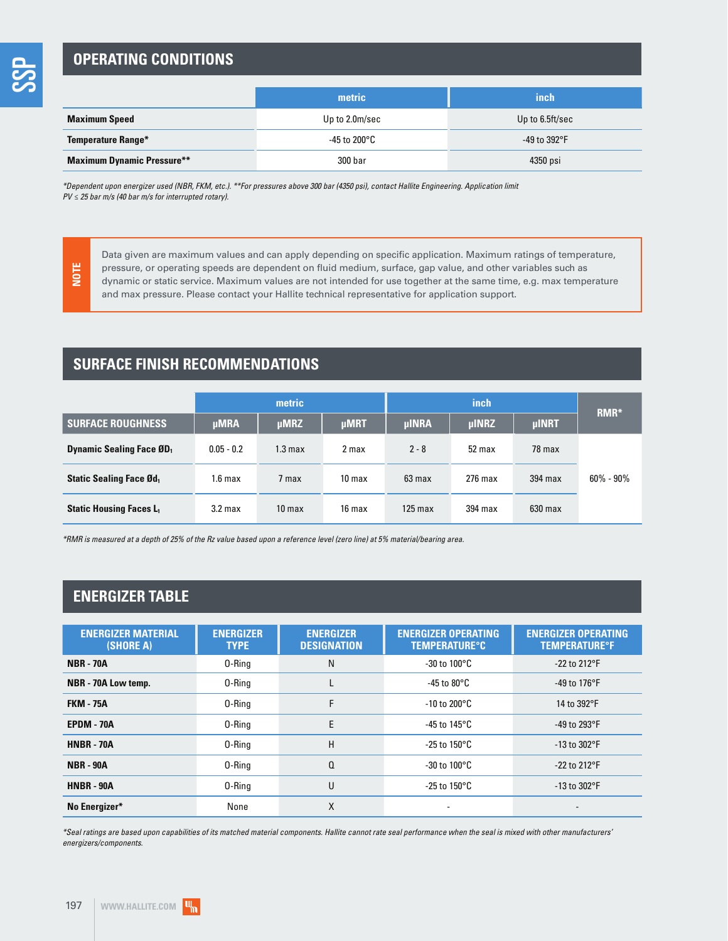### **OPERATING CONDITIONS**

|                                   | metric         | inch                 |
|-----------------------------------|----------------|----------------------|
| <b>Maximum Speed</b>              | Up to 2.0m/sec | Up to 6.5ft/sec      |
| Temperature Range*                | -45 to 200°C   | -49 to $392^\circ$ F |
| <b>Maximum Dynamic Pressure**</b> | 300 bar        | 4350 psi             |

\*Dependent upon energizer used (NBR, FKM, etc.). \*\*For pressures above 300 bar (4350 psi), contact Hallite Engineering. Application limit  $PV \le 25$  bar m/s (40 bar m/s for interrupted rotary).

**NOTE**

Data given are maximum values and can apply depending on specific application. Maximum ratings of temperature, pressure, or operating speeds are dependent on fluid medium, surface, gap value, and other variables such as dynamic or static service. Maximum values are not intended for use together at the same time, e.g. max temperature and max pressure. Please contact your Hallite technical representative for application support.

## **SURFACE FINISH RECOMMENDATIONS**

|                                 | metric             |                    |                   |              | RMR*         |              |               |
|---------------------------------|--------------------|--------------------|-------------------|--------------|--------------|--------------|---------------|
| <b>SURFACE ROUGHNESS</b>        | <b>µMRA</b>        | <b>uMRZ</b>        | <b>µMRT</b>       | <b>µINRA</b> | <b>µINRZ</b> | <b>µINRT</b> |               |
| <b>Dynamic Sealing Face ØD1</b> | $0.05 - 0.2$       | 1.3 <sub>max</sub> | 2 max             | $2 - 8$      | 52 max       | 78 max       |               |
| <b>Static Sealing Face Ød</b>   | 1.6 <sub>max</sub> | 7 max              | 10 <sub>max</sub> | 63 max       | $276$ max    | 394 max      | $60\% - 90\%$ |
| <b>Static Housing Faces L1</b>  | 3.2 <sub>max</sub> | 10 <sub>max</sub>  | 16 max            | $125$ max    | 394 max      | $630$ max    |               |

\*RMR is measured at a depth of 25% of the Rz value based upon a reference level (zero line) at 5% material/bearing area.

#### **ENERGIZER TABLE**

| <b>ENERGIZER MATERIAL</b><br>(SHORE A) | <b>ENERGIZER</b><br><b>TYPE</b> | <b>ENERGIZER</b><br><b>DESIGNATION</b> | <b>ENERGIZER OPERATING</b><br><b>TEMPERATURE°C</b> | <b>ENERGIZER OPERATING</b><br><b>TEMPERATURE°F</b> |
|----------------------------------------|---------------------------------|----------------------------------------|----------------------------------------------------|----------------------------------------------------|
| <b>NBR - 70A</b>                       | 0-Ring                          | N                                      | $-30$ to $100^{\circ}$ C                           | $-22$ to 212°F                                     |
| NBR - 70A Low temp.                    | 0-Ring                          |                                        | -45 to 80°C                                        | -49 to 176°F                                       |
| <b>FKM - 75A</b>                       | 0-Ring                          | F                                      | $-10$ to 200 $^{\circ}$ C                          | 14 to 392°F                                        |
| EPDM - 70A<br>0-Ring                   |                                 | E<br>-45 to 145 $^{\circ}$ C           |                                                    | -49 to 293°F                                       |
| <b>HNBR - 70A</b>                      | 0-Ring                          | H                                      | -25 to 150°C                                       | $-13$ to $302$ °F                                  |
| <b>NBR - 90A</b>                       | 0-Ring                          | Q                                      | -30 to 100°C                                       | $-22$ to 212°F                                     |
| <b>HNBR - 90A</b>                      | 0-Ring                          | U                                      | -25 to 150°C                                       | $-13$ to $302$ °F                                  |
| No Energizer*                          | None                            | X                                      |                                                    |                                                    |

\*Seal ratings are based upon capabilities of its matched material components. Hallite cannot rate seal performance when the seal is mixed with other manufacturers' energizers/components.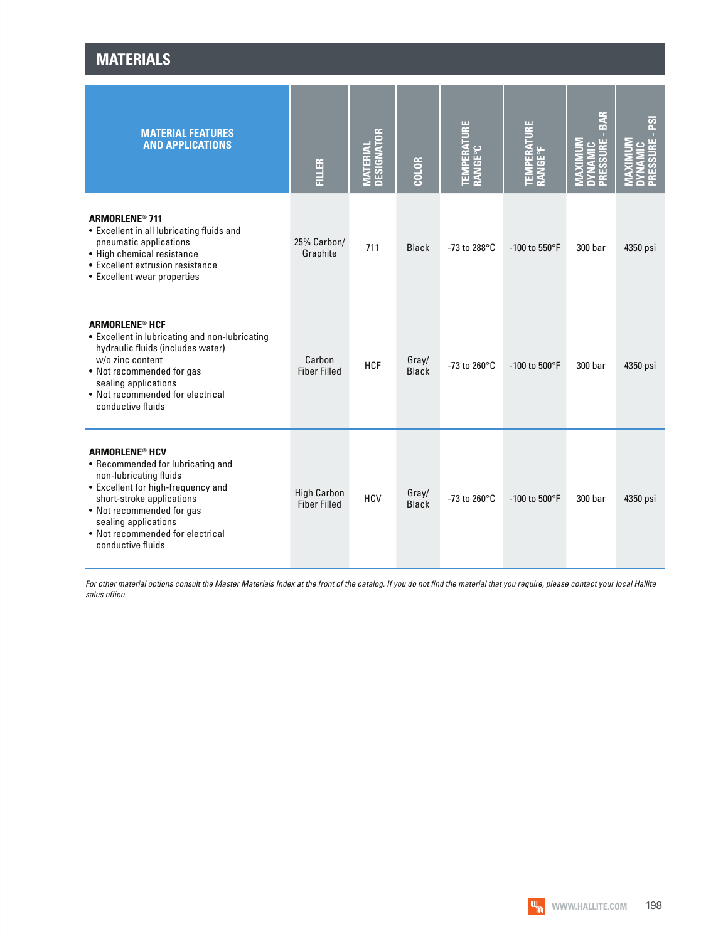| <b>MATERIALS</b> |
|------------------|
|------------------|

| <b>MATERIAL FEATURES</b><br><b>AND APPLICATIONS</b>                                                                                                                                                                                                                              | <b>FILLER</b>                             | <b>MATERIAL<br/>DESIGNATOR</b> | COLOR                 | š<br><b>TEMPERAT<br/>Range°C</b> | Ë<br><b>TEMPERAT<br/>Range°f</b> | <b>BAR</b><br>ш<br><b>RESSUR</b> | នា       |
|----------------------------------------------------------------------------------------------------------------------------------------------------------------------------------------------------------------------------------------------------------------------------------|-------------------------------------------|--------------------------------|-----------------------|----------------------------------|----------------------------------|----------------------------------|----------|
| <b>ARMORLENE<sup>®</sup> 711</b><br>• Excellent in all lubricating fluids and<br>pneumatic applications<br>• High chemical resistance<br>• Excellent extrusion resistance<br>• Excellent wear properties                                                                         | 25% Carbon/<br>Graphite                   | 711                            | <b>Black</b>          | -73 to 288°C                     | -100 to 550°F                    | 300 bar                          | 4350 psi |
| <b>ARMORLENE<sup>®</sup> HCF</b><br>• Excellent in lubricating and non-lubricating<br>hydraulic fluids (includes water)<br>w/o zinc content<br>• Not recommended for gas<br>sealing applications<br>• Not recommended for electrical<br>conductive fluids                        | Carbon<br><b>Fiber Filled</b>             | <b>HCF</b>                     | Gray/<br><b>Black</b> | -73 to 260°C                     | $-100$ to $500^{\circ}$ F        | 300 bar                          | 4350 psi |
| <b>ARMORLENE<sup>®</sup> HCV</b><br>• Recommended for lubricating and<br>non-lubricating fluids<br>• Excellent for high-frequency and<br>short-stroke applications<br>• Not recommended for gas<br>sealing applications<br>• Not recommended for electrical<br>conductive fluids | <b>High Carbon</b><br><b>Fiber Filled</b> | <b>HCV</b>                     | Gray/<br><b>Black</b> | -73 to 260°C                     | -100 to 500°F                    | 300 bar                          | 4350 psi |

For other material options consult the Master Materials Index at the front of the catalog. If you do not find the material that you require, please contact your local Hallite sales office.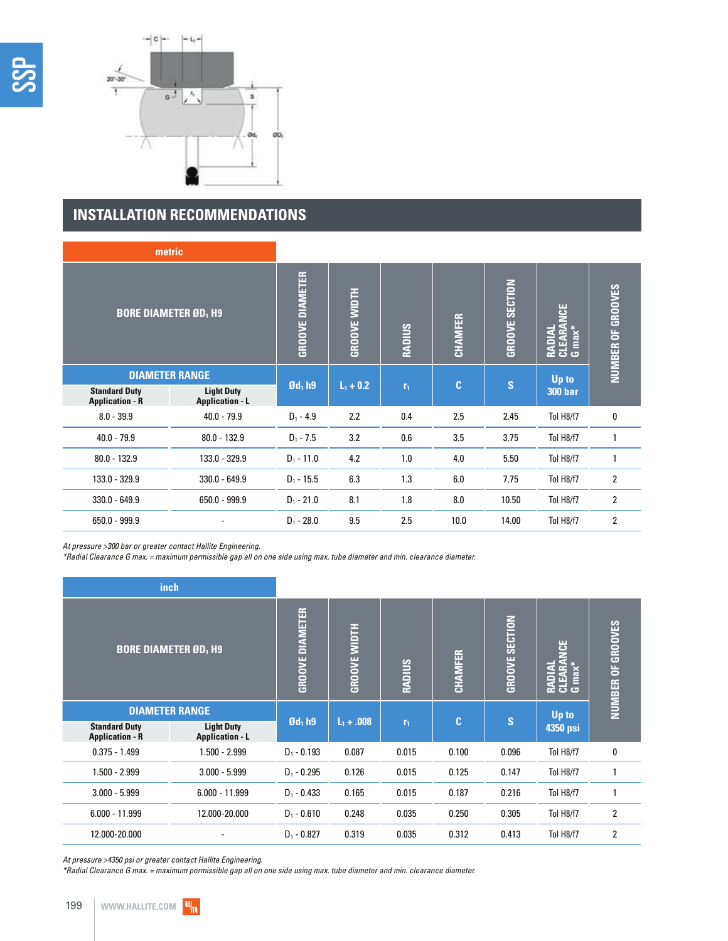

## **INSTALLATION RECOMMENDATIONS**

| metric                                         |                                             |                        |                     |               |                |                 |                                  |                   |  |
|------------------------------------------------|---------------------------------------------|------------------------|---------------------|---------------|----------------|-----------------|----------------------------------|-------------------|--|
| <b>BORE DIAMETER ØD<sub>1</sub> H9</b>         |                                             | <b>GROOVE DIAMETER</b> | <b>GROOVE WIDTH</b> | <b>RADIUS</b> | CHAMFER        | GROOVE SECTION  | ξ<br>RADIAL<br>CLEARAM<br>G max* | NUMBER OF GROOVES |  |
| <b>DIAMETER RANGE</b>                          |                                             |                        |                     |               | $\mathbf{C}$   | $\vert S \vert$ | Up to                            |                   |  |
| <b>Standard Duty</b><br><b>Application - R</b> | <b>Light Duty</b><br><b>Application - L</b> | $\mathfrak{gd}_1$ h9   |                     | $L_1 + 0.2$   | r <sub>1</sub> |                 |                                  | <b>300 bar</b>    |  |
| $8.0 - 39.9$                                   | $40.0 - 79.9$                               | $D_1 - 4.9$            | 2.2                 | 0.4           | 2.5            | 2.45            | Tol H8/f7                        | 0                 |  |
| $40.0 - 79.9$                                  | $80.0 - 132.9$                              | $D_1 - 7.5$            | 3.2                 | 0.6           | 3.5            | 3.75            | Tol H8/f7                        |                   |  |
| $80.0 - 132.9$                                 | 133.0 - 329.9                               | $D_1 - 11.0$           | 4.2                 | 1.0           | 4.0            | 5.50            | Tol H8/f7                        | 1                 |  |
| 133.0 - 329.9                                  | $330.0 - 649.9$                             | $D_1 - 15.5$           | 6.3                 | 1.3           | 6.0            | 7.75            | Tol H8/f7                        | 2                 |  |
| $330.0 - 649.9$                                | $650.0 - 999.9$                             | $D_1 - 21.0$           | 8.1                 | 1.8           | 8.0            | 10.50           | Tol H8/f7                        | $\mathbf{2}$      |  |
| $650.0 - 999.9$                                |                                             | $D_1 - 28.0$           | 9.5                 | 2.5           | 10.0           | 14.00           | Tol H8/f7                        | $\overline{2}$    |  |

At pressure >300 bar or greater contact Hallite Engineering.

\*Radial Clearance G max. = maximum permissible gap all on one side using max. tube diameter and min. clearance diameter.

| <i>inch</i>                                    |                                             |                        |                     |                |                |                |                                        |                             |
|------------------------------------------------|---------------------------------------------|------------------------|---------------------|----------------|----------------|----------------|----------------------------------------|-----------------------------|
| <b>BORE DIAMETER ØD<sub>1</sub> H9</b>         |                                             | <b>GROOVE DIAMETER</b> | <b>GROOVE WIDTH</b> | <b>RADIUS</b>  | <b>CHAMFER</b> | GROOVE SECTION | <b>RADIAL<br/>CLEARANCE<br/>G max*</b> | OF GROOVES<br><b>NUMBER</b> |
| <b>DIAMETER RANGE</b>                          |                                             | $\mathfrak{gd}_1$ h9   |                     |                | $\mathbf{C}$   | S              | Up to                                  |                             |
| <b>Standard Duty</b><br><b>Application - R</b> | <b>Light Duty</b><br><b>Application - L</b> |                        | $L_1 + .008$        | r <sub>1</sub> |                |                | 4350 psi                               |                             |
| $0.375 - 1.499$                                | $1.500 - 2.999$                             | $D_1 - 0.193$          | 0.087               | 0.015          | 0.100          | 0.096          | Tol H8/f7                              | 0                           |
| $1.500 - 2.999$                                | $3.000 - 5.999$                             | $D_1 - 0.295$          | 0.126               | 0.015          | 0.125          | 0.147          | Tol H8/f7                              |                             |
| $3.000 - 5.999$                                | $6.000 - 11.999$                            | $D_1 - 0.433$          | 0.165               | 0.015          | 0.187          | 0.216          | Tol H8/f7                              |                             |
| $6.000 - 11.999$                               | 12.000-20.000                               | $D_1 - 0.610$          | 0.248               | 0.035          | 0.250          | 0.305          | Tol H8/f7                              | $\overline{2}$              |
| 12.000-20.000                                  |                                             | $D_1 - 0.827$          | 0.319               | 0.035          | 0.312          | 0.413          | Tol H8/f7                              | $\overline{2}$              |

At pressure >4350 psi or greater contact Hallite Engineering.

\*Radial Clearance G max. = maximum permissible gap all on one side using max. tube diameter and min. clearance diameter.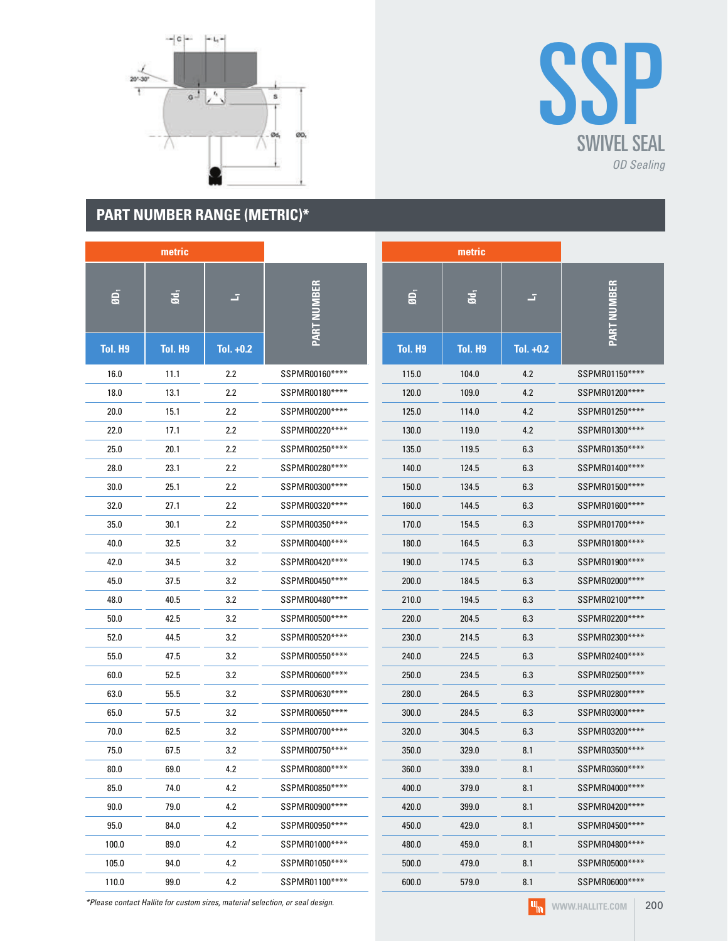



## **PART NUMBER RANGE (METRIC)\***

|                | metric         |             |                    |                | metric         |             |                    |
|----------------|----------------|-------------|--------------------|----------------|----------------|-------------|--------------------|
| ØD,            | Ød,            | z,          | <b>PART NUMBER</b> | $\ddot{a}$     | Ød,            | z,          | <b>PART NUMBER</b> |
| <b>Tol. H9</b> | <b>Tol. H9</b> | Tol. $+0.2$ |                    | <b>Tol. H9</b> | <b>Tol. H9</b> | Tol. $+0.2$ |                    |
| 16.0           | 11.1           | 2.2         | SSPMR00160****     | 115.0          | 104.0          | 4.2         | SSPMR01150****     |
| 18.0           | 13.1           | 2.2         | SSPMR00180****     | 120.0          | 109.0          | 4.2         | SSPMR01200****     |
| 20.0           | 15.1           | 2.2         | SSPMR00200****     | 125.0          | 114.0          | 4.2         | SSPMR01250****     |
| 22.0           | 17.1           | 2.2         | SSPMR00220****     | 130.0          | 119.0          | 4.2         | SSPMR01300****     |
| 25.0           | 20.1           | 2.2         | SSPMR00250****     | 135.0          | 119.5          | 6.3         | SSPMR01350****     |
| 28.0           | 23.1           | 2.2         | SSPMR00280****     | 140.0          | 124.5          | 6.3         | SSPMR01400****     |
| 30.0           | 25.1           | 2.2         | SSPMR00300****     | 150.0          | 134.5          | 6.3         | SSPMR01500****     |
| 32.0           | 27.1           | 2.2         | SSPMR00320****     | 160.0          | 144.5          | 6.3         | SSPMR01600****     |
| 35.0           | 30.1           | 2.2         | SSPMR00350****     | 170.0          | 154.5          | 6.3         | SSPMR01700****     |
| 40.0           | 32.5           | 3.2         | SSPMR00400****     | 180.0          | 164.5          | 6.3         | SSPMR01800****     |
| 42.0           | 34.5           | 3.2         | SSPMR00420****     | 190.0          | 174.5          | 6.3         | SSPMR01900****     |
| 45.0           | 37.5           | 3.2         | SSPMR00450****     | 200.0          | 184.5          | 6.3         | SSPMR02000****     |
| 48.0           | 40.5           | 3.2         | SSPMR00480****     | 210.0          | 194.5          | 6.3         | SSPMR02100****     |
| 50.0           | 42.5           | 3.2         | SSPMR00500****     | 220.0          | 204.5          | 6.3         | SSPMR02200****     |
| 52.0           | 44.5           | 3.2         | SSPMR00520****     | 230.0          | 214.5          | 6.3         | SSPMR02300****     |
| 55.0           | 47.5           | 3.2         | SSPMR00550****     | 240.0          | 224.5          | 6.3         | SSPMR02400****     |
| 60.0           | 52.5           | 3.2         | SSPMR00600****     | 250.0          | 234.5          | 6.3         | SSPMR02500****     |
| 63.0           | 55.5           | 3.2         | SSPMR00630****     | 280.0          | 264.5          | 6.3         | SSPMR02800****     |
| 65.0           | 57.5           | 3.2         | SSPMR00650****     | 300.0          | 284.5          | 6.3         | SSPMR03000****     |
| 70.0           | 62.5           | 3.2         | SSPMR00700****     | 320.0          | 304.5          | 6.3         | SSPMR03200****     |
| 75.0           | 67.5           | 3.2         | SSPMR00750****     | 350.0          | 329.0          | 8.1         | SSPMR03500****     |
| 80.0           | 69.0           | 4.2         | SSPMR00800****     | 360.0          | 339.0          | 8.1         | SSPMR03600****     |
| 85.0           | 74.0           | 4.2         | SSPMR00850****     | 400.0          | 379.0          | 8.1         | SSPMR04000****     |
| 90.0           | 79.0           | 4.2         | SSPMR00900****     | 420.0          | 399.0          | 8.1         | SSPMR04200****     |
| 95.0           | 84.0           | 4.2         | SSPMR00950****     | 450.0          | 429.0          | 8.1         | SSPMR04500****     |
| 100.0          | 89.0           | 4.2         | SSPMR01000****     | 480.0          | 459.0          | 8.1         | SSPMR04800****     |
| 105.0          | 94.0           | 4.2         | SSPMR01050****     | 500.0          | 479.0          | 8.1         | SSPMR05000****     |
| 110.0          | 99.0           | 4.2         | SSPMR01100****     | 600.0          | 579.0          | 8.1         | SSPMR06000****     |

\*Please contact Hallite for custom sizes, material selection, or seal design.

 $\boxed{q_n}$ **WWW.HALLITE.COM** 200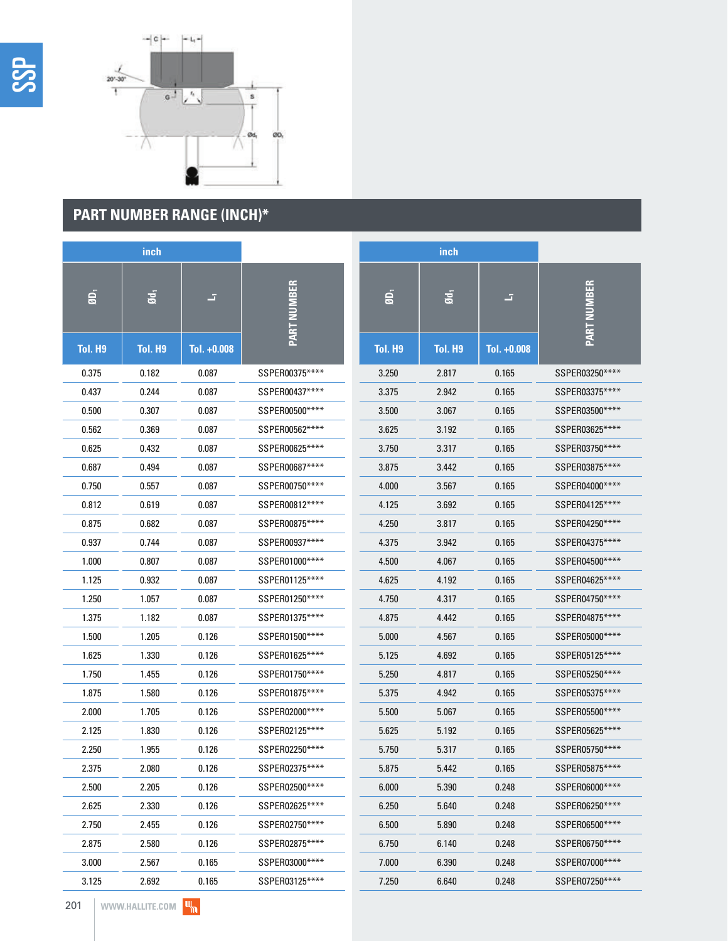

# **PART NUMBER RANGE (INCH)\***

|                | <i>inch</i>     |             |                    |                | inch            |             |                    |
|----------------|-----------------|-------------|--------------------|----------------|-----------------|-------------|--------------------|
| $\overline{a}$ | Ød <sub>1</sub> | z,          | <b>PART NUMBER</b> | $\ddot{a}$     | Ød <sub>1</sub> | J,          | <b>PART NUMBER</b> |
| <b>Tol. H9</b> | <b>Tol. H9</b>  | Tol. +0.008 |                    | <b>Tol. H9</b> | Tol. H9         | Tol. +0.008 |                    |
| 0.375          | 0.182           | 0.087       | SSPER00375****     | 3.250          | 2.817           | 0.165       | SSPER03250****     |
| 0.437          | 0.244           | 0.087       | SSPER00437****     | 3.375          | 2.942           | 0.165       | SSPER03375****     |
| 0.500          | 0.307           | 0.087       | SSPER00500****     | 3.500          | 3.067           | 0.165       | SSPER03500****     |
| 0.562          | 0.369           | 0.087       | SSPER00562****     | 3.625          | 3.192           | 0.165       | SSPER03625****     |
| 0.625          | 0.432           | 0.087       | SSPER00625****     | 3.750          | 3.317           | 0.165       | SSPER03750****     |
| 0.687          | 0.494           | 0.087       | SSPER00687****     | 3.875          | 3.442           | 0.165       | SSPER03875****     |
| 0.750          | 0.557           | 0.087       | SSPER00750****     | 4.000          | 3.567           | 0.165       | SSPER04000****     |
| 0.812          | 0.619           | 0.087       | SSPER00812****     | 4.125          | 3.692           | 0.165       | SSPER04125****     |
| 0.875          | 0.682           | 0.087       | SSPER00875****     | 4.250          | 3.817           | 0.165       | SSPER04250****     |
| 0.937          | 0.744           | 0.087       | SSPER00937****     | 4.375          | 3.942           | 0.165       | SSPER04375****     |
| 1.000          | 0.807           | 0.087       | SSPER01000****     | 4.500          | 4.067           | 0.165       | SSPER04500****     |
| 1.125          | 0.932           | 0.087       | SSPER01125****     | 4.625          | 4.192           | 0.165       | SSPER04625****     |
| 1.250          | 1.057           | 0.087       | SSPER01250****     | 4.750          | 4.317           | 0.165       | SSPER04750****     |
| 1.375          | 1.182           | 0.087       | SSPER01375****     | 4.875          | 4.442           | 0.165       | SSPER04875****     |
| 1.500          | 1.205           | 0.126       | SSPER01500****     | 5.000          | 4.567           | 0.165       | SSPER05000****     |
| 1.625          | 1.330           | 0.126       | SSPER01625****     | 5.125          | 4.692           | 0.165       | SSPER05125****     |
| 1.750          | 1.455           | 0.126       | SSPER01750****     | 5.250          | 4.817           | 0.165       | SSPER05250****     |
| 1.875          | 1.580           | 0.126       | SSPER01875****     | 5.375          | 4.942           | 0.165       | SSPER05375****     |
| 2.000          | 1.705           | 0.126       | SSPER02000*****    | 5.500          | 5.067           | 0.165       | SSPER05500****     |
| 2.125          | 1.830           | 0.126       | SSPER02125****     | 5.625          | 5.192           | 0.165       | SSPER05625****     |
| 2.250          | 1.955           | 0.126       | SSPER02250****     | 5.750          | 5.317           | 0.165       | SSPER05750****     |
| 2.375          | 2.080           | 0.126       | SSPER02375****     | 5.875          | 5.442           | 0.165       | SSPER05875****     |
| 2.500          | 2.205           | 0.126       | SSPER02500****     | 6.000          | 5.390           | 0.248       | SSPER06000****     |
| 2.625          | 2.330           | 0.126       | SSPER02625****     | 6.250          | 5.640           | 0.248       | SSPER06250****     |
| 2.750          | 2.455           | 0.126       | SSPER02750****     | 6.500          | 5.890           | 0.248       | SSPER06500****     |
| 2.875          | 2.580           | 0.126       | SSPER02875****     | 6.750          | 6.140           | 0.248       | SSPER06750****     |
| 3.000          | 2.567           | 0.165       | SSPER03000****     | 7.000          | 6.390           | 0.248       | SSPER07000****     |
| 3.125          | 2.692           | 0.165       | SSPER03125****     | 7.250          | 6.640           | 0.248       | SSPER07250****     |

 $\mathbf{u}_n$